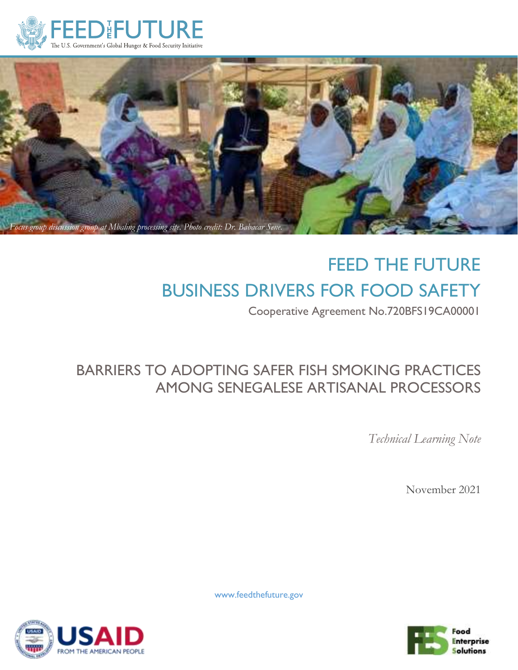



# FEED THE FUTURE BUSINESS DRIVERS FOR FOOD SAFETY

Cooperative Agreement No.720BFS19CA00001

## BARRIERS TO ADOPTING SAFER FISH SMOKING PRACTICES AMONG SENEGALESE ARTISANAL PROCESSORS

*Technical Learning Note*

November 2021



www.feedthefuture.gov

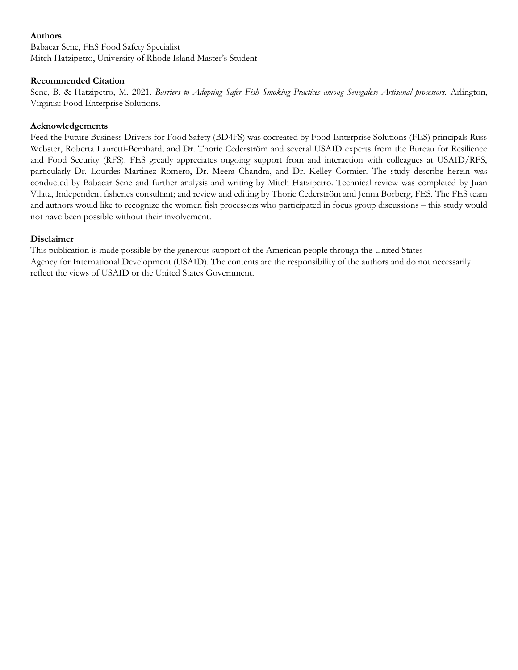#### **Authors**

Babacar Sene, FES Food Safety Specialist Mitch Hatzipetro, University of Rhode Island Master's Student

#### **Recommended Citation**

Sene, B. & Hatzipetro, M. 2021. *Barriers to Adopting Safer Fish Smoking Practices among Senegalese Artisanal processors.* Arlington, Virginia: Food Enterprise Solutions.

#### **Acknowledgements**

Feed the Future Business Drivers for Food Safety (BD4FS) was cocreated by Food Enterprise Solutions (FES) principals Russ Webster, Roberta Lauretti-Bernhard, and Dr. Thoric Cederström and several USAID experts from the Bureau for Resilience and Food Security (RFS). FES greatly appreciates ongoing support from and interaction with colleagues at USAID/RFS, particularly Dr. Lourdes Martinez Romero, Dr. Meera Chandra, and Dr. Kelley Cormier. The study describe herein was conducted by Babacar Sene and further analysis and writing by Mitch Hatzipetro. Technical review was completed by Juan Vilata, Independent fisheries consultant; and review and editing by Thoric Cederström and Jenna Borberg, FES. The FES team and authors would like to recognize the women fish processors who participated in focus group discussions – this study would not have been possible without their involvement.

#### **Disclaimer**

This publication is made possible by the generous support of the American people through the United States Agency for International Development (USAID). The contents are the responsibility of the authors and do not necessarily reflect the views of USAID or the United States Government.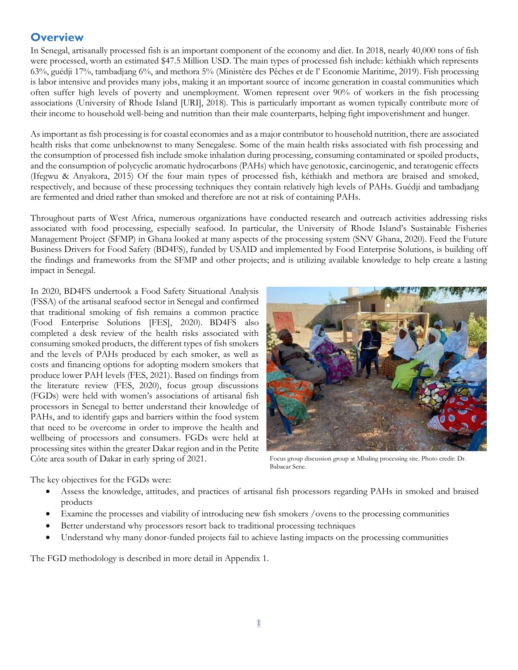## **Overview**

In Senegal, artisanally processed fish is an important component of the economy and diet. In 2018, nearly 40,000 tons of fish were processed, worth an estimated \$47.5 Million USD. The main types of processed fish include: kéthiakh which represents 63%, guédji 17%, tambadjang 6%, and methora 5% (Ministère des Pêches et de l' Economie Maritime, 2019). Fish processing is labor intensive and provides many jobs, making it an important source of income generation in coastal communities which often suffer high levels of poverty and unemployment. Women represent over 90% of workers in the fish processing associations (University of Rhode Island [URI], 2018). This is particularly important as women typically contribute more of their income to household well-being and nutrition than their male counterparts, helping fight impoverishment and hunger.

As important as fish processing is for coastal economies and as a major contributor to household nutrition, there are associated health risks that come unbeknownst to many Senegalese. Some of the main health risks associated with fish processing and the consumption of processed fish include smoke inhalation during processing, consuming contaminated or spoiled products, and the consumption of polycyclic aromatic hydrocarbons (PAHs) which have genotoxic, carcinogenic, and teratogenic effects (Ifegwu & Anyakora, 2015) Of the four main types of processed fish, kéthiakh and methora are braised and smoked, respectively, and because of these processing techniques they contain relatively high levels of PAHs. Guédji and tambadjang are fermented and dried rather than smoked and therefore are not at risk of containing PAHs.

Throughout parts of West Africa, numerous organizations have conducted research and outreach activities addressing risks associated with food processing, especially seafood. In particular, the University of Rhode Island's Sustainable Fisheries Management Project (SFMP) in Ghana looked at many aspects of the processing system (SNV Ghana, 2020). Feed the Future Business Drivers for Food Safety (BD4FS), funded by USAID and implemented by Food Enterprise Solutions, is building off the findings and frameworks from the SFMP and other projects; and is utilizing available knowledge to help create a lasting impact in Senegal.

In 2020, BD4FS undertook a Food Safety Situational Analysis (FSSA) of the artisanal seafood sector in Senegal and confirmed that traditional smoking of fish remains a common practice (Food Enterprise Solutions [FES], 2020). BD4FS also completed a desk review of the health risks associated with consuming smoked products, the different types of fish smokers and the levels of PAHs produced by each smoker, as well as costs and financing options for adopting modern smokers that produce lower PAH levels (FES, 2021). Based on findings from the literature review (FES, 2020), focus group discussions (FGDs) were held with women's associations of artisanal fish processors in Senegal to better understand their knowledge of PAHs, and to identify gaps and barriers within the food system that need to be overcome in order to improve the health and wellbeing of processors and consumers. FGDs were held at processing sites within the greater Dakar region and in the Petite Côte area south of Dakar in early spring of 2021.



Focus group discussion group at Mbaling processing site. Photo credit: Dr. Babacar Sene.

The key objectives for the FGDs were:

- Assess the knowledge, attitudes, and practices of artisanal fish processors regarding PAHs in smoked and braised products
- Examine the processes and viability of introducing new fish smokers /ovens to the processing communities
- Better understand why processors resort back to traditional processing techniques
- Understand why many donor-funded projects fail to achieve lasting impacts on the processing communities

The FGD methodology is described in more detail in Appendix 1.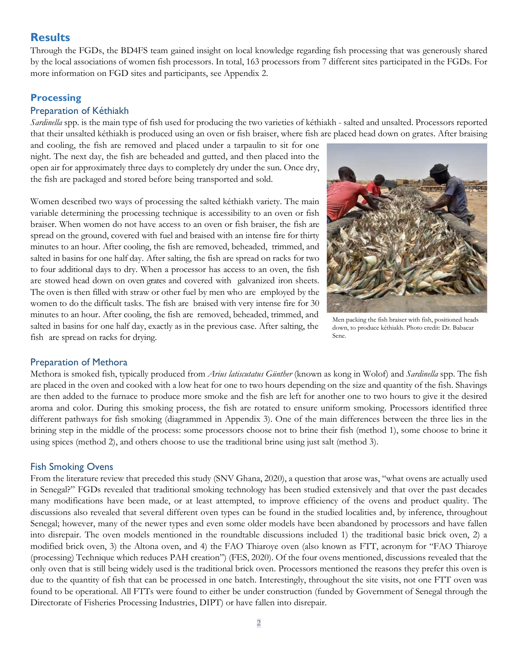## **Results**

Through the FGDs, the BD4FS team gained insight on local knowledge regarding fish processing that was generously shared by the local associations of women fish processors. In total, 163 processors from 7 different sites participated in the FGDs. For more information on FGD sites and participants, see Appendix 2.

#### **Processing**

#### Preparation of Kéthiakh

*Sardinella* spp. is the main type of fish used for producing the two varieties of kéthiakh - salted and unsalted. Processors reported that their unsalted kéthiakh is produced using an oven or fish braiser, where fish are placed head down on grates. After braising

and cooling, the fish are removed and placed under a tarpaulin to sit for one night. The next day, the fish are beheaded and gutted, and then placed into the open air for approximately three days to completely dry under the sun. Once dry, the fish are packaged and stored before being transported and sold.

Women described two ways of processing the salted kéthiakh variety. The main variable determining the processing technique is accessibility to an oven or fish braiser. When women do not have access to an oven or fish braiser, the fish are spread on the ground, covered with fuel and braised with an intense fire for thirty minutes to an hour. After cooling, the fish are removed, beheaded, trimmed, and salted in basins for one half day. After salting, the fish are spread on racks for two to four additional days to dry. When a processor has access to an oven, the fish are stowed head down on oven grates and covered with galvanized iron sheets. The oven is then filled with straw or other fuel by men who are employed by the women to do the difficult tasks. The fish are braised with very intense fire for 30 minutes to an hour. After cooling, the fish are removed, beheaded, trimmed, and salted in basins for one half day, exactly as in the previous case. After salting, the fish are spread on racks for drying.



Men packing the fish braiser with fish, positioned heads down, to produce kéthiakh. Photo credit: Dr. Babacar Sene.

#### Preparation of Methora

Methora is smoked fish, typically produced from *Arius latiscutatus Günther* (known as kong in Wolof) and *Sardinella* spp. The fish are placed in the oven and cooked with a low heat for one to two hours depending on the size and quantity of the fish. Shavings are then added to the furnace to produce more smoke and the fish are left for another one to two hours to give it the desired aroma and color. During this smoking process, the fish are rotated to ensure uniform smoking. Processors identified three different pathways for fish smoking (diagrammed in Appendix 3). One of the main differences between the three lies in the brining step in the middle of the process: some processors choose not to brine their fish (method 1), some choose to brine it using spices (method 2), and others choose to use the traditional brine using just salt (method 3).

#### Fish Smoking Ovens

From the literature review that preceded this study (SNV Ghana, 2020), a question that arose was, "what ovens are actually used in Senegal?" FGDs revealed that traditional smoking technology has been studied extensively and that over the past decades many modifications have been made, or at least attempted, to improve efficiency of the ovens and product quality. The discussions also revealed that several different oven types can be found in the studied localities and, by inference, throughout Senegal; however, many of the newer types and even some older models have been abandoned by processors and have fallen into disrepair. The oven models mentioned in the roundtable discussions included 1) the traditional basic brick oven, 2) a modified brick oven, 3) the Altona oven, and 4) the FAO Thiaroye oven (also known as FTT, acronym for "FAO Thiaroye (processing) Technique which reduces PAH creation") (FES, 2020). Of the four ovens mentioned, discussions revealed that the only oven that is still being widely used is the traditional brick oven. Processors mentioned the reasons they prefer this oven is due to the quantity of fish that can be processed in one batch. Interestingly, throughout the site visits, not one FTT oven was found to be operational. All FTTs were found to either be under construction (funded by Government of Senegal through the Directorate of Fisheries Processing Industries, DIPT) or have fallen into disrepair.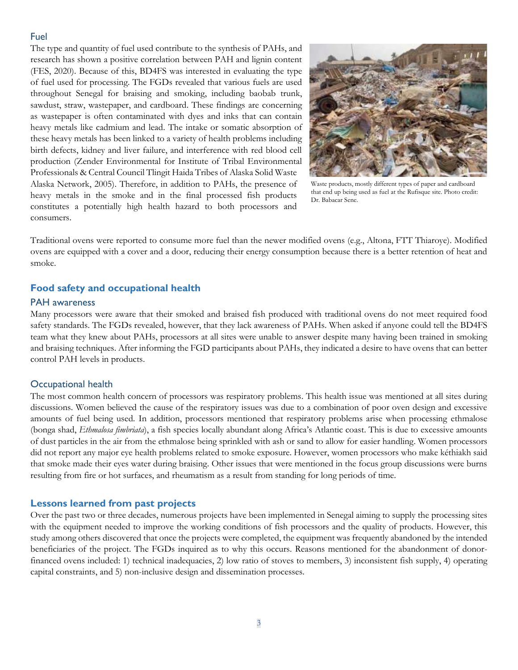#### Fuel

The type and quantity of fuel used contribute to the synthesis of PAHs, and research has shown a positive correlation between PAH and lignin content (FES, 2020). Because of this, BD4FS was interested in evaluating the type of fuel used for processing. The FGDs revealed that various fuels are used throughout Senegal for braising and smoking, including baobab trunk, sawdust, straw, wastepaper, and cardboard. These findings are concerning as wastepaper is often contaminated with dyes and inks that can contain heavy metals like cadmium and lead. The intake or somatic absorption of these heavy metals has been linked to a variety of health problems including birth defects, kidney and liver failure, and interference with red blood cell production (Zender Environmental for Institute of Tribal Environmental Professionals & Central Council Tlingit Haida Tribes of Alaska Solid Waste Alaska Network, 2005). Therefore, in addition to PAHs, the presence of heavy metals in the smoke and in the final processed fish products constitutes a potentially high health hazard to both processors and consumers.



Waste products, mostly different types of paper and cardboard that end up being used as fuel at the Rufisque site. Photo credit: Dr. Babacar Sene.

Traditional ovens were reported to consume more fuel than the newer modified ovens (e.g., Altona, FTT Thiaroye). Modified ovens are equipped with a cover and a door, reducing their energy consumption because there is a better retention of heat and smoke.

#### **Food safety and occupational health**

#### PAH awareness

Many processors were aware that their smoked and braised fish produced with traditional ovens do not meet required food safety standards. The FGDs revealed, however, that they lack awareness of PAHs. When asked if anyone could tell the BD4FS team what they knew about PAHs, processors at all sites were unable to answer despite many having been trained in smoking and braising techniques. After informing the FGD participants about PAHs, they indicated a desire to have ovens that can better control PAH levels in products.

#### Occupational health

The most common health concern of processors was respiratory problems. This health issue was mentioned at all sites during discussions. Women believed the cause of the respiratory issues was due to a combination of poor oven design and excessive amounts of fuel being used. In addition, processors mentioned that respiratory problems arise when processing ethmalose (bonga shad, *Ethmalosa fimbriata*), a fish species locally abundant along Africa's Atlantic coast. This is due to excessive amounts of dust particles in the air from the ethmalose being sprinkled with ash or sand to allow for easier handling. Women processors did not report any major eye health problems related to smoke exposure. However, women processors who make kéthiakh said that smoke made their eyes water during braising. Other issues that were mentioned in the focus group discussions were burns resulting from fire or hot surfaces, and rheumatism as a result from standing for long periods of time.

#### **Lessons learned from past projects**

Over the past two or three decades, numerous projects have been implemented in Senegal aiming to supply the processing sites with the equipment needed to improve the working conditions of fish processors and the quality of products. However, this study among others discovered that once the projects were completed, the equipment was frequently abandoned by the intended beneficiaries of the project. The FGDs inquired as to why this occurs. Reasons mentioned for the abandonment of donorfinanced ovens included: 1) technical inadequacies, 2) low ratio of stoves to members, 3) inconsistent fish supply, 4) operating capital constraints, and 5) non-inclusive design and dissemination processes.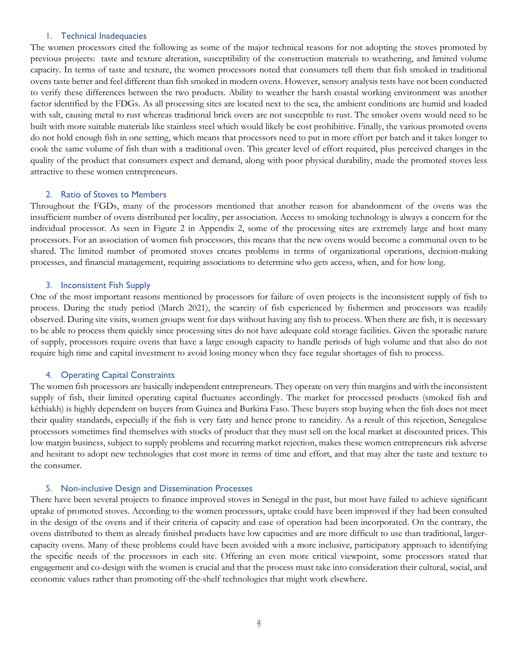#### 1. Technical Inadequacies

The women processors cited the following as some of the major technical reasons for not adopting the stoves promoted by previous projects: taste and texture alteration, susceptibility of the construction materials to weathering, and limited volume capacity. In terms of taste and texture, the women processors noted that consumers tell them that fish smoked in traditional ovens taste better and feel different than fish smoked in modern ovens. However, sensory analysis tests have not been conducted to verify these differences between the two products. Ability to weather the harsh coastal working environment was another factor identified by the FDGs. As all processing sites are located next to the sea, the ambient conditions are humid and loaded with salt, causing metal to rust whereas traditional brick overs are not susceptible to rust. The smoker ovens would need to be built with more suitable materials like stainless steel which would likely be cost prohibitive. Finally, the various promoted ovens do not hold enough fish in one setting, which means that processors need to put in more effort per batch and it takes longer to cook the same volume of fish than with a traditional oven. This greater level of effort required, plus perceived changes in the quality of the product that consumers expect and demand, along with poor physical durability, made the promoted stoves less attractive to these women entrepreneurs.

#### 2. Ratio of Stoves to Members

Throughout the FGDs, many of the processors mentioned that another reason for abandonment of the ovens was the insufficient number of ovens distributed per locality, per association. Access to smoking technology is always a concern for the individual processor. As seen in Figure 2 in Appendix 2, some of the processing sites are extremely large and host many processors. For an association of women fish processors, this means that the new ovens would become a communal oven to be shared. The limited number of promoted stoves creates problems in terms of organizational operations, decision-making processes, and financial management, requiring associations to determine who gets access, when, and for how long.

#### 3. Inconsistent Fish Supply

One of the most important reasons mentioned by processors for failure of oven projects is the inconsistent supply of fish to process. During the study period (March 2021), the scarcity of fish experienced by fishermen and processors was readily observed. During site visits, women groups went for days without having any fish to process. When there are fish, it is necessary to be able to process them quickly since processing sites do not have adequate cold storage facilities. Given the sporadic nature of supply, processors require ovens that have a large enough capacity to handle periods of high volume and that also do not require high time and capital investment to avoid losing money when they face regular shortages of fish to process.

#### 4. Operating Capital Constraints

The women fish processors are basically independent entrepreneurs. They operate on very thin margins and with the inconsistent supply of fish, their limited operating capital fluctuates accordingly. The market for processed products (smoked fish and kéthiakh) is highly dependent on buyers from Guinea and Burkina Faso. These buyers stop buying when the fish does not meet their quality standards, especially if the fish is very fatty and hence prone to rancidity. As a result of this rejection, Senegalese processors sometimes find themselves with stocks of product that they must sell on the local market at discounted prices. This low margin business, subject to supply problems and recurring market rejection, makes these women entrepreneurs risk adverse and hesitant to adopt new technologies that cost more in terms of time and effort, and that may alter the taste and texture to the consumer.

#### 5. Non-inclusive Design and Dissemination Processes

There have been several projects to finance improved stoves in Senegal in the past, but most have failed to achieve significant uptake of promoted stoves. According to the women processors, uptake could have been improved if they had been consulted in the design of the ovens and if their criteria of capacity and ease of operation had been incorporated. On the contrary, the ovens distributed to them as already finished products have low capacities and are more difficult to use than traditional, largercapacity ovens. Many of these problems could have been avoided with a more inclusive, participatory approach to identifying the specific needs of the processors in each site. Offering an even more critical viewpoint, some processors stated that engagement and co-design with the women is crucial and that the process must take into consideration their cultural, social, and economic values rather than promoting off-the-shelf technologies that might work elsewhere.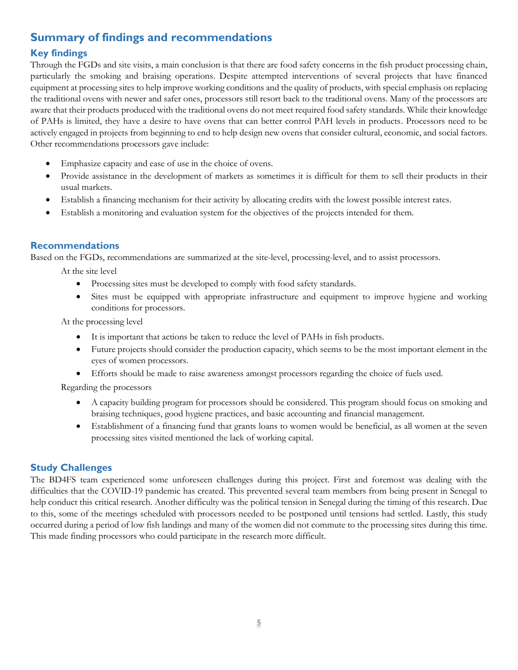## **Summary of findings and recommendations**

## **Key findings**

Through the FGDs and site visits, a main conclusion is that there are food safety concerns in the fish product processing chain, particularly the smoking and braising operations. Despite attempted interventions of several projects that have financed equipment at processing sites to help improve working conditions and the quality of products, with special emphasis on replacing the traditional ovens with newer and safer ones, processors still resort back to the traditional ovens. Many of the processors are aware that their products produced with the traditional ovens do not meet required food safety standards. While their knowledge of PAHs is limited, they have a desire to have ovens that can better control PAH levels in products. Processors need to be actively engaged in projects from beginning to end to help design new ovens that consider cultural, economic, and social factors. Other recommendations processors gave include:

- Emphasize capacity and ease of use in the choice of ovens.
- Provide assistance in the development of markets as sometimes it is difficult for them to sell their products in their usual markets.
- Establish a financing mechanism for their activity by allocating credits with the lowest possible interest rates.
- Establish a monitoring and evaluation system for the objectives of the projects intended for them.

### **Recommendations**

Based on the FGDs, recommendations are summarized at the site-level, processing-level, and to assist processors.

At the site level

- Processing sites must be developed to comply with food safety standards.
- Sites must be equipped with appropriate infrastructure and equipment to improve hygiene and working conditions for processors.

At the processing level

- It is important that actions be taken to reduce the level of PAHs in fish products.
- Future projects should consider the production capacity, which seems to be the most important element in the eyes of women processors.
- Efforts should be made to raise awareness amongst processors regarding the choice of fuels used.

Regarding the processors

- A capacity building program for processors should be considered. This program should focus on smoking and braising techniques, good hygiene practices, and basic accounting and financial management.
- Establishment of a financing fund that grants loans to women would be beneficial, as all women at the seven processing sites visited mentioned the lack of working capital.

## **Study Challenges**

The BD4FS team experienced some unforeseen challenges during this project. First and foremost was dealing with the difficulties that the COVID-19 pandemic has created. This prevented several team members from being present in Senegal to help conduct this critical research. Another difficulty was the political tension in Senegal during the timing of this research. Due to this, some of the meetings scheduled with processors needed to be postponed until tensions had settled. Lastly, this study occurred during a period of low fish landings and many of the women did not commute to the processing sites during this time. This made finding processors who could participate in the research more difficult.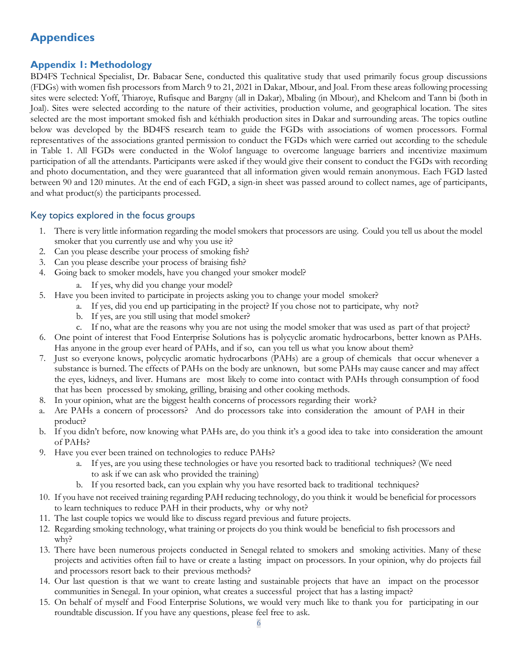## **Appendices**

## **Appendix 1: Methodology**

BD4FS Technical Specialist, Dr. Babacar Sene, conducted this qualitative study that used primarily focus group discussions (FDGs) with women fish processors from March 9 to 21, 2021 in Dakar, Mbour, and Joal. From these areas following processing sites were selected: Yoff, Thiaroye, Rufisque and Bargny (all in Dakar), Mbaling (in Mbour), and Khelcom and Tann bi (both in Joal). Sites were selected according to the nature of their activities, production volume, and geographical location. The sites selected are the most important smoked fish and kéthiakh production sites in Dakar and surrounding areas. The topics outline below was developed by the BD4FS research team to guide the FGDs with associations of women processors. Formal representatives of the associations granted permission to conduct the FGDs which were carried out according to the schedule in Table 1. All FGDs were conducted in the Wolof language to overcome language barriers and incentivize maximum participation of all the attendants. Participants were asked if they would give their consent to conduct the FGDs with recording and photo documentation, and they were guaranteed that all information given would remain anonymous. Each FGD lasted between 90 and 120 minutes. At the end of each FGD, a sign-in sheet was passed around to collect names, age of participants, and what product(s) the participants processed.

#### Key topics explored in the focus groups

- 1. There is very little information regarding the model smokers that processors are using. Could you tell us about the model smoker that you currently use and why you use it?
- 2. Can you please describe your process of smoking fish?
- 3. Can you please describe your process of braising fish?
- 4. Going back to smoker models, have you changed your smoker model?
	- a. If yes, why did you change your model?
- 5. Have you been invited to participate in projects asking you to change your model smoker?
	- a. If yes, did you end up participating in the project? If you chose not to participate, why not?
	- b. If yes, are you still using that model smoker?
	- c. If no, what are the reasons why you are not using the model smoker that was used as part of that project?
- 6. One point of interest that Food Enterprise Solutions has is polycyclic aromatic hydrocarbons, better known as PAHs. Has anyone in the group ever heard of PAHs, and if so, can you tell us what you know about them?
- 7. Just so everyone knows, polycyclic aromatic hydrocarbons (PAHs) are a group of chemicals that occur whenever a substance is burned. The effects of PAHs on the body are unknown, but some PAHs may cause cancer and may affect the eyes, kidneys, and liver. Humans are most likely to come into contact with PAHs through consumption of food that has been processed by smoking, grilling, braising and other cooking methods.
- 8. In your opinion, what are the biggest health concerns of processors regarding their work?
- a. Are PAHs a concern of processors? And do processors take into consideration the amount of PAH in their product?
- b. If you didn't before, now knowing what PAHs are, do you think it's a good idea to take into consideration the amount of PAHs?
- 9. Have you ever been trained on technologies to reduce PAHs?
	- a. If yes, are you using these technologies or have you resorted back to traditional techniques? (We need to ask if we can ask who provided the training)
	- b. If you resorted back, can you explain why you have resorted back to traditional techniques?
- 10. If you have not received training regarding PAH reducing technology, do you think it would be beneficial for processors to learn techniques to reduce PAH in their products, why or why not?
- 11. The last couple topics we would like to discuss regard previous and future projects.
- 12. Regarding smoking technology, what training or projects do you think would be beneficial to fish processors and why?
- 13. There have been numerous projects conducted in Senegal related to smokers and smoking activities. Many of these projects and activities often fail to have or create a lasting impact on processors. In your opinion, why do projects fail and processors resort back to their previous methods?
- 14. Our last question is that we want to create lasting and sustainable projects that have an impact on the processor communities in Senegal. In your opinion, what creates a successful project that has a lasting impact?
- 15. On behalf of myself and Food Enterprise Solutions, we would very much like to thank you for participating in our roundtable discussion. If you have any questions, please feel free to ask.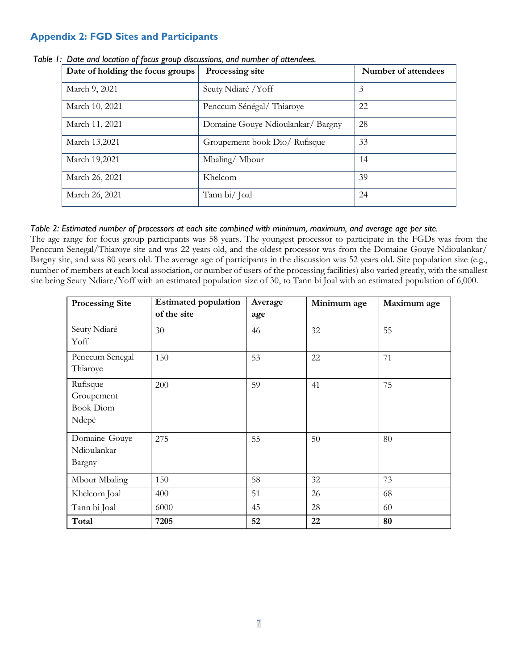## **Appendix 2: FGD Sites and Participants**

| Date of holding the focus groups | Processing site                   | Number of attendees |
|----------------------------------|-----------------------------------|---------------------|
| March 9, 2021                    | Seuty Ndiaré /Yoff                | 3                   |
| March 10, 2021                   | Penccum Sénégal/Thiaroye          | 22                  |
| March 11, 2021                   | Domaine Gouye Ndioulankar/ Bargny | 28                  |
| March 13,2021                    | Groupement book Dio/ Rufisque     | 33                  |
| March 19,2021                    | Mbaling/Mbour                     | 14                  |
| March 26, 2021                   | Khelcom                           | 39                  |
| March 26, 2021                   | Tann bi/ Joal                     | 24                  |

*Table 1: Date and location of focus group discussions, and number of attendees.*

#### *Table 2: Estimated number of processors at each site combined with minimum, maximum, and average age per site.*

The age range for focus group participants was 58 years. The youngest processor to participate in the FGDs was from the Penccum Senegal/Thiaroye site and was 22 years old, and the oldest processor was from the Domaine Gouye Ndioulankar/ Bargny site, and was 80 years old. The average age of participants in the discussion was 52 years old. Site population size (e.g., number of members at each local association, or number of users of the processing facilities) also varied greatly, with the smallest site being Seuty Ndiare/Yoff with an estimated population size of 30, to Tann bi Joal with an estimated population of 6,000.

| <b>Processing Site</b> | <b>Estimated population</b> | Average | Minimum age | Maximum age |
|------------------------|-----------------------------|---------|-------------|-------------|
|                        | of the site                 | age     |             |             |
| Seuty Ndiaré           | 30                          | 46      | 32          | 55          |
| Yoff                   |                             |         |             |             |
| Penccum Senegal        | 150                         | 53      | 22          | 71          |
| Thiaroye               |                             |         |             |             |
| Rufisque               | 200                         | 59      | 41          | 75          |
| Groupement             |                             |         |             |             |
| <b>Book Diom</b>       |                             |         |             |             |
| Ndepé                  |                             |         |             |             |
| Domaine Gouye          | 275                         | 55      | 50          | 80          |
| Ndioulankar            |                             |         |             |             |
| Bargny                 |                             |         |             |             |
| Mbour Mbaling          | 150                         | 58      | 32          | 73          |
| Khelcom Joal           | 400                         | 51      | 26          | 68          |
| Tann bi Joal           | 6000                        | 45      | 28          | 60          |
| Total                  | 7205                        | 52      | 22          | 80          |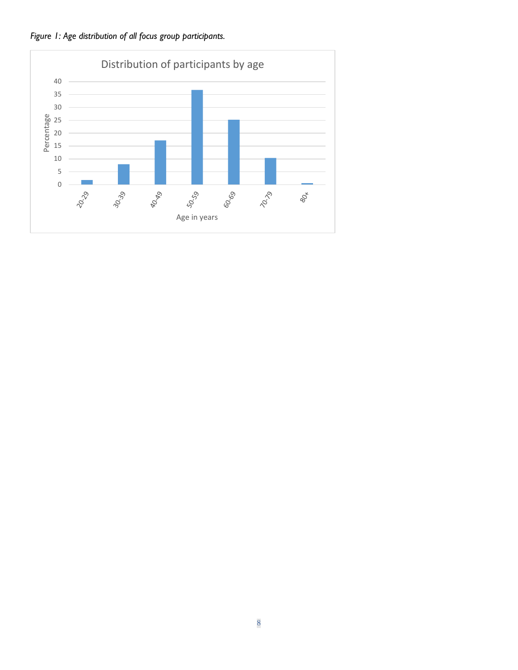

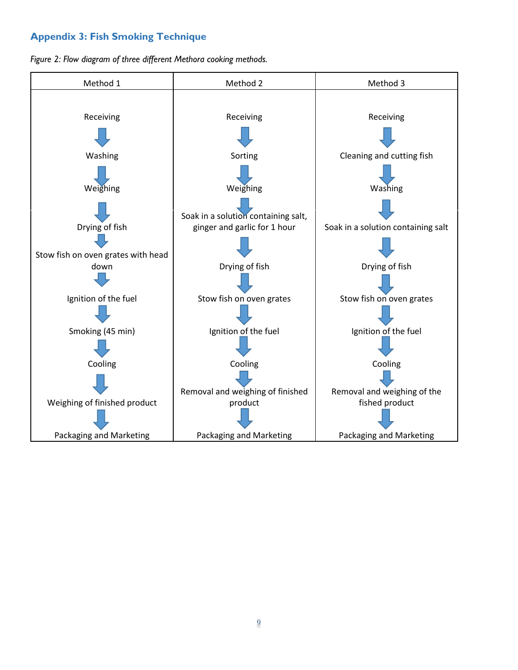## **Appendix 3: Fish Smoking Technique**

*Figure 2: Flow diagram of three different Methora cooking methods.*